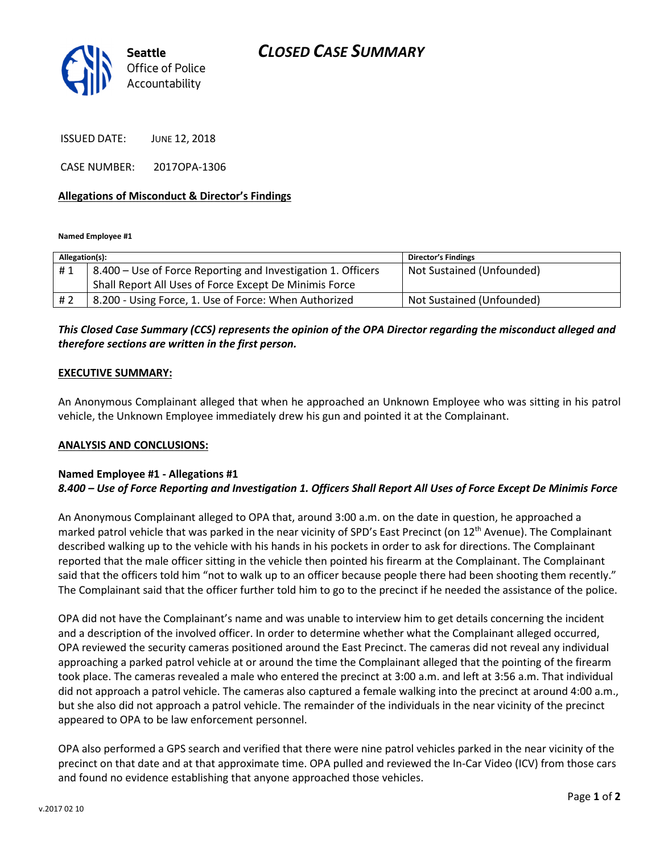

ISSUED DATE: JUNE 12, 2018

CASE NUMBER: 2017OPA-1306

## Allegations of Misconduct & Director's Findings

Named Employee #1

| Allegation(s): |                                                              | <b>Director's Findings</b> |
|----------------|--------------------------------------------------------------|----------------------------|
| #1             | 8.400 - Use of Force Reporting and Investigation 1. Officers | Not Sustained (Unfounded)  |
|                | Shall Report All Uses of Force Except De Minimis Force       |                            |
| # 2            | 8.200 - Using Force, 1. Use of Force: When Authorized        | Not Sustained (Unfounded)  |

# This Closed Case Summary (CCS) represents the opinion of the OPA Director regarding the misconduct alleged and therefore sections are written in the first person.

## EXECUTIVE SUMMARY:

An Anonymous Complainant alleged that when he approached an Unknown Employee who was sitting in his patrol vehicle, the Unknown Employee immediately drew his gun and pointed it at the Complainant.

#### ANALYSIS AND CONCLUSIONS:

## Named Employee #1 - Allegations #1 8.400 – Use of Force Reporting and Investigation 1. Officers Shall Report All Uses of Force Except De Minimis Force

An Anonymous Complainant alleged to OPA that, around 3:00 a.m. on the date in question, he approached a marked patrol vehicle that was parked in the near vicinity of SPD's East Precinct (on 12<sup>th</sup> Avenue). The Complainant described walking up to the vehicle with his hands in his pockets in order to ask for directions. The Complainant reported that the male officer sitting in the vehicle then pointed his firearm at the Complainant. The Complainant said that the officers told him "not to walk up to an officer because people there had been shooting them recently." The Complainant said that the officer further told him to go to the precinct if he needed the assistance of the police.

OPA did not have the Complainant's name and was unable to interview him to get details concerning the incident and a description of the involved officer. In order to determine whether what the Complainant alleged occurred, OPA reviewed the security cameras positioned around the East Precinct. The cameras did not reveal any individual approaching a parked patrol vehicle at or around the time the Complainant alleged that the pointing of the firearm took place. The cameras revealed a male who entered the precinct at 3:00 a.m. and left at 3:56 a.m. That individual did not approach a patrol vehicle. The cameras also captured a female walking into the precinct at around 4:00 a.m., but she also did not approach a patrol vehicle. The remainder of the individuals in the near vicinity of the precinct appeared to OPA to be law enforcement personnel.

OPA also performed a GPS search and verified that there were nine patrol vehicles parked in the near vicinity of the precinct on that date and at that approximate time. OPA pulled and reviewed the In-Car Video (ICV) from those cars and found no evidence establishing that anyone approached those vehicles.